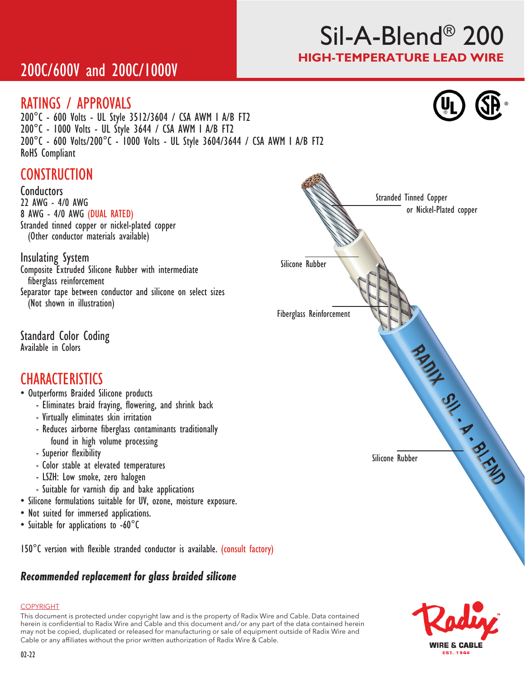# Sil-A-Blend® 200 HIGH-TEMPERATURE LEAD WIRE

# 200C/600V and 200C/1000V

## RATINGS / APPROVALS

200°C - 600 Volts - UL Style 3512/3604 / CSA AWM I A/B FT2 200°C - 1000 Volts - UL Style 3644 / CSA AWM I A/B FT2 200°C - 600 Volts/200°C - 1000 Volts - UL Style 3604/3644 / CSA AWM I A/B FT2 RoHS Compliant

# **CONSTRUCTION**

Conductors 22 AWG - 4/0 AWG 8 AWG - 4/0 AWG (DUAL RATED) Stranded tinned copper or nickel-plated copper (Other conductor materials available)

### Insulating System

Composite Extruded Silicone Rubber with intermediate fiberglass reinforcement

Separator tape between conductor and silicone on select sizes (Not shown in illustration)

Standard Color Coding Available in Colors

## **CHARACTERISTICS**

- Outperforms Braided Silicone products
	- Eliminates braid fraying, flowering, and shrink back
	- Virtually eliminates skin irritation
	- Reduces airborne fiberglass contaminants traditionally found in high volume processing
	- Superior flexibility
	- Color stable at elevated temperatures
	- LSZH: Low smoke, zero halogen
	- Suitable for varnish dip and bake applications
- Silicone formulations suitable for UV, ozone, moisture exposure.
- Not suited for immersed applications.
- Suitable for applications to -60°C

150°C version with flexible stranded conductor is available. (consult factory)

## *Recommended replacement for glass braided silicone*

#### COPYRIGHT

This document is protected under copyright law and is the property of Radix Wire and Cable. Data contained herein is confidential to Radix Wire and Cable and this document and / or any part of the data contained herein may not be copied, duplicated or released for manufacturing or sale of equipment outside of Radix Wire and Cable or any affiliates without the prior written authorization of Radix Wire & Cable.